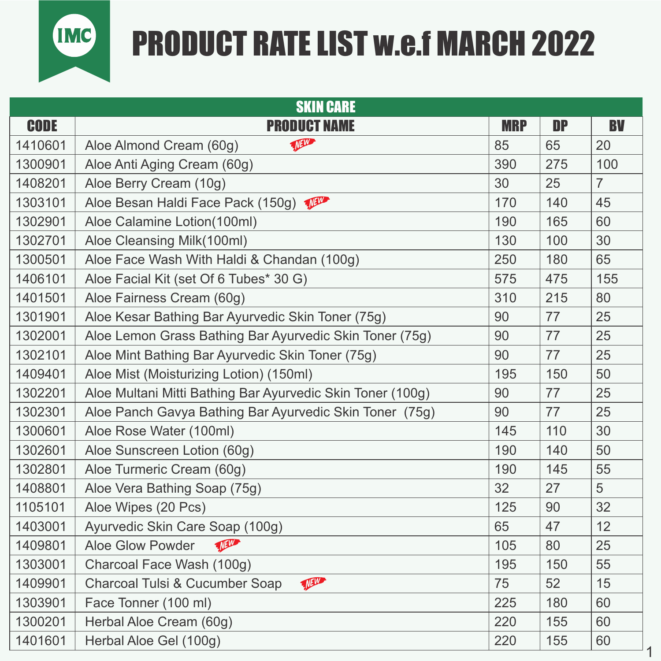

## PRODUCT RATE LIST w.e.f MARCH 2022

| <b>SKIN CARE</b> |                                                            |            |           |                |  |  |
|------------------|------------------------------------------------------------|------------|-----------|----------------|--|--|
| <b>CODE</b>      | <b>PRODUCT NAME</b>                                        | <b>MRP</b> | <b>DP</b> | <b>BV</b>      |  |  |
| 1410601          | Them<br>Aloe Almond Cream (60g)                            | 85         | 65        | 20             |  |  |
| 1300901          | Aloe Anti Aging Cream (60g)                                | 390        | 275       | 100            |  |  |
| 1408201          | Aloe Berry Cream (10g)                                     | 30         | 25        | $\overline{7}$ |  |  |
| 1303101          | Aloe Besan Haldi Face Pack (150g)                          | 170        | 140       | 45             |  |  |
| 1302901          | Aloe Calamine Lotion(100ml)                                | 190        | 165       | 60             |  |  |
| 1302701          | Aloe Cleansing Milk(100ml)                                 | 130        | 100       | 30             |  |  |
| 1300501          | Aloe Face Wash With Haldi & Chandan (100g)                 | 250        | 180       | 65             |  |  |
| 1406101          | Aloe Facial Kit (set Of 6 Tubes* 30 G)                     | 575        | 475       | 155            |  |  |
| 1401501          | Aloe Fairness Cream (60g)                                  | 310        | 215       | 80             |  |  |
| 1301901          | Aloe Kesar Bathing Bar Ayurvedic Skin Toner (75g)          | 90         | 77        | 25             |  |  |
| 1302001          | Aloe Lemon Grass Bathing Bar Ayurvedic Skin Toner (75g)    | 90         | 77        | 25             |  |  |
| 1302101          | Aloe Mint Bathing Bar Ayurvedic Skin Toner (75g)           | 90         | 77        | 25             |  |  |
| 1409401          | Aloe Mist (Moisturizing Lotion) (150ml)                    | 195        | 150       | 50             |  |  |
| 1302201          | Aloe Multani Mitti Bathing Bar Ayurvedic Skin Toner (100g) | 90         | 77        | 25             |  |  |
| 1302301          | Aloe Panch Gavya Bathing Bar Ayurvedic Skin Toner (75g)    | 90         | 77        | 25             |  |  |
| 1300601          | Aloe Rose Water (100ml)                                    | 145        | 110       | 30             |  |  |
| 1302601          | Aloe Sunscreen Lotion (60g)                                | 190        | 140       | 50             |  |  |
| 1302801          | Aloe Turmeric Cream (60g)                                  | 190        | 145       | 55             |  |  |
| 1408801          | Aloe Vera Bathing Soap (75g)                               | 32         | 27        | 5              |  |  |
| 1105101          | Aloe Wipes (20 Pcs)                                        | 125        | 90        | 32             |  |  |
| 1403001          | Ayurvedic Skin Care Soap (100g)                            | 65         | 47        | 12             |  |  |
| 1409801          | There<br>Aloe Glow Powder                                  | 105        | 80        | 25             |  |  |
| 1303001          | Charcoal Face Wash (100g)                                  | 195        | 150       | 55             |  |  |
| 1409901          | Theme<br>Charcoal Tulsi & Cucumber Soap                    | 75         | 52        | 15             |  |  |
| 1303901          | Face Tonner (100 ml)                                       | 225        | 180       | 60             |  |  |
| 1300201          | Herbal Aloe Cream (60g)                                    | 220        | 155       | 60             |  |  |
| 1401601          | Herbal Aloe Gel (100g)                                     | 220        | 155       | 60             |  |  |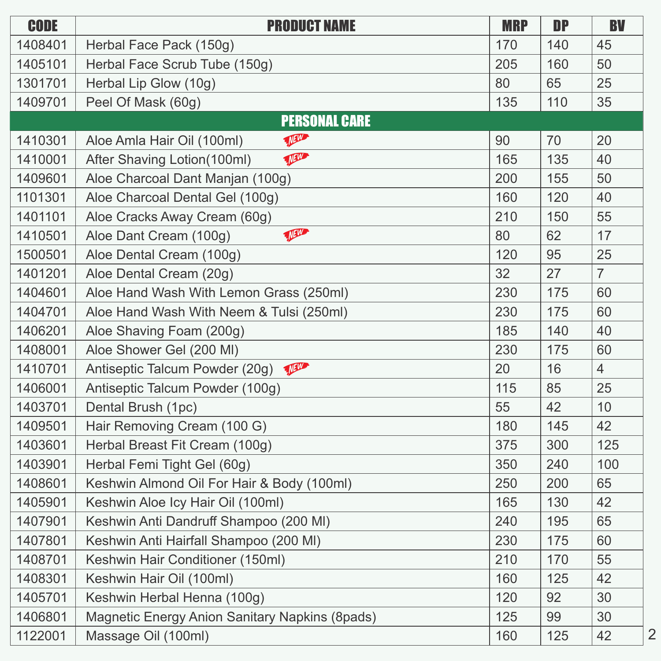| <b>CODE</b> | <b>PRODUCT NAME</b>                            | <b>MRP</b> | <b>DP</b> | <b>BV</b>      |
|-------------|------------------------------------------------|------------|-----------|----------------|
| 1408401     | Herbal Face Pack (150g)                        | 170        | 140       | 45             |
| 1405101     | Herbal Face Scrub Tube (150g)                  | 205        | 160       | 50             |
| 1301701     | Herbal Lip Glow (10g)                          | 80         | 65        | 25             |
| 1409701     | Peel Of Mask (60g)                             | 135        | 110       | 35             |
|             | <b>PERSONAL CARE</b>                           |            |           |                |
| 1410301     | There<br>Aloe Amla Hair Oil (100ml)            | 90         | 70        | 20             |
| 1410001     | There<br>After Shaving Lotion(100ml)           | 165        | 135       | 40             |
| 1409601     | Aloe Charcoal Dant Manjan (100g)               | 200        | 155       | 50             |
| 1101301     | Aloe Charcoal Dental Gel (100g)                | 160        | 120       | 40             |
| 1401101     | Aloe Cracks Away Cream (60g)                   | 210        | 150       | 55             |
| 1410501     | VANT<br>Aloe Dant Cream (100g)                 | 80         | 62        | 17             |
| 1500501     | Aloe Dental Cream (100g)                       | 120        | 95        | 25             |
| 1401201     | Aloe Dental Cream (20g)                        | 32         | 27        | $\overline{7}$ |
| 1404601     | Aloe Hand Wash With Lemon Grass (250ml)        | 230        | 175       | 60             |
| 1404701     | Aloe Hand Wash With Neem & Tulsi (250ml)       | 230        | 175       | 60             |
| 1406201     | Aloe Shaving Foam (200g)                       | 185        | 140       | 40             |
| 1408001     | Aloe Shower Gel (200 MI)                       | 230        | 175       | 60             |
| 1410701     | Theme<br>Antiseptic Talcum Powder (20g)        | 20         | 16        | $\overline{4}$ |
| 1406001     | Antiseptic Talcum Powder (100g)                | 115        | 85        | 25             |
| 1403701     | Dental Brush (1pc)                             | 55         | 42        | 10             |
| 1409501     | Hair Removing Cream (100 G)                    | 180        | 145       | 42             |
| 1403601     | Herbal Breast Fit Cream (100g)                 | 375        | 300       | 125            |
| 1403901     | Herbal Femi Tight Gel (60g)                    | 350        | 240       | 100            |
| 1408601     | Keshwin Almond Oil For Hair & Body (100ml)     | 250        | 200       | 65             |
| 1405901     | Keshwin Aloe Icy Hair Oil (100ml)              | 165        | 130       | 42             |
| 1407901     | Keshwin Anti Dandruff Shampoo (200 MI)         | 240        | 195       | 65             |
| 1407801     | Keshwin Anti Hairfall Shampoo (200 MI)         | 230        | 175       | 60             |
| 1408701     | Keshwin Hair Conditioner (150ml)               | 210        | 170       | 55             |
| 1408301     | Keshwin Hair Oil (100ml)                       | 160        | 125       | 42             |
| 1405701     | Keshwin Herbal Henna (100g)                    | 120        | 92        | 30             |
| 1406801     | Magnetic Energy Anion Sanitary Napkins (8pads) | 125        | 99        | 30             |
| 1122001     | Massage Oil (100ml)                            | 160        | 125       | 42             |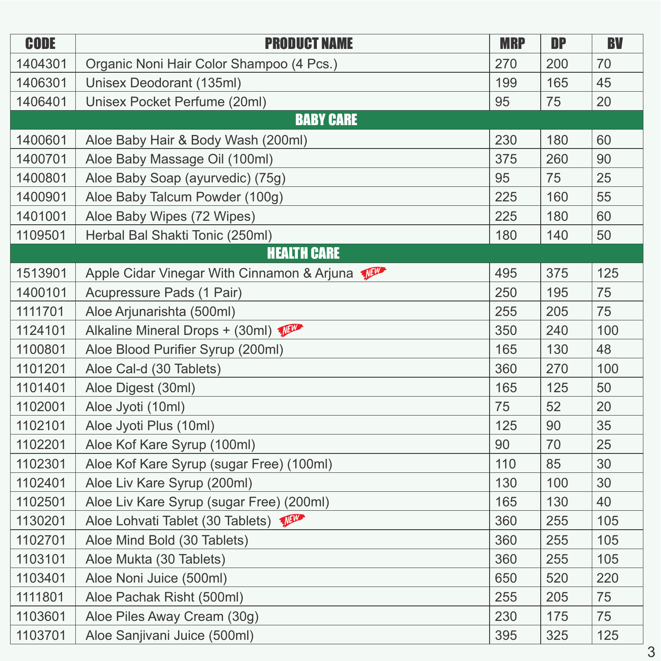| <b>CODE</b> | <b>PRODUCT NAME</b>                        | <b>MRP</b> | <b>DP</b> | <b>BV</b> |
|-------------|--------------------------------------------|------------|-----------|-----------|
| 1404301     | Organic Noni Hair Color Shampoo (4 Pcs.)   | 270        | 200       | 70        |
| 1406301     | Unisex Deodorant (135ml)                   | 199        | 165       | 45        |
| 1406401     | Unisex Pocket Perfume (20ml)               | 95         | 75        | 20        |
|             | <b>BABY CARE</b>                           |            |           |           |
| 1400601     | Aloe Baby Hair & Body Wash (200ml)         | 230        | 180       | 60        |
| 1400701     | Aloe Baby Massage Oil (100ml)              | 375        | 260       | 90        |
| 1400801     | Aloe Baby Soap (ayurvedic) (75g)           | 95         | 75        | 25        |
| 1400901     | Aloe Baby Talcum Powder (100g)             | 225        | 160       | 55        |
| 1401001     | Aloe Baby Wipes (72 Wipes)                 | 225        | 180       | 60        |
| 1109501     | Herbal Bal Shakti Tonic (250ml)            | 180        | 140       | 50        |
|             | <b>HEALTH CARE</b>                         |            |           |           |
| 1513901     | Apple Cidar Vinegar With Cinnamon & Arjuna | 495        | 375       | 125       |
| 1400101     | Acupressure Pads (1 Pair)                  | 250        | 195       | 75        |
| 1111701     | Aloe Arjunarishta (500ml)                  | 255        | 205       | 75        |
| 1124101     | Alkaline Mineral Drops + (30ml)            | 350        | 240       | 100       |
| 1100801     | Aloe Blood Purifier Syrup (200ml)          | 165        | 130       | 48        |
| 1101201     | Aloe Cal-d (30 Tablets)                    | 360        | 270       | 100       |
| 1101401     | Aloe Digest (30ml)                         | 165        | 125       | 50        |
| 1102001     | Aloe Jyoti (10ml)                          | 75         | 52        | 20        |
| 1102101     | Aloe Jyoti Plus (10ml)                     | 125        | 90        | 35        |
| 1102201     | Aloe Kof Kare Syrup (100ml)                | 90         | 70        | 25        |
| 1102301     | Aloe Kof Kare Syrup (sugar Free) (100ml)   | 110        | 85        | 30        |
| 1102401     | Aloe Liv Kare Syrup (200ml)                | 130        | 100       | 30        |
| 1102501     | Aloe Liv Kare Syrup (sugar Free) (200ml)   | 165        | 130       | 40        |
| 1130201     | Aloe Lohvati Tablet (30 Tablets)           | 360        | 255       | 105       |
| 1102701     | Aloe Mind Bold (30 Tablets)                | 360        | 255       | 105       |
| 1103101     | Aloe Mukta (30 Tablets)                    | 360        | 255       | 105       |
| 1103401     | Aloe Noni Juice (500ml)                    | 650        | 520       | 220       |
| 1111801     | Aloe Pachak Risht (500ml)                  | 255        | 205       | 75        |
| 1103601     | Aloe Piles Away Cream (30g)                | 230        | 175       | 75        |
| 1103701     | Aloe Sanjivani Juice (500ml)               | 395        | 325       | 125       |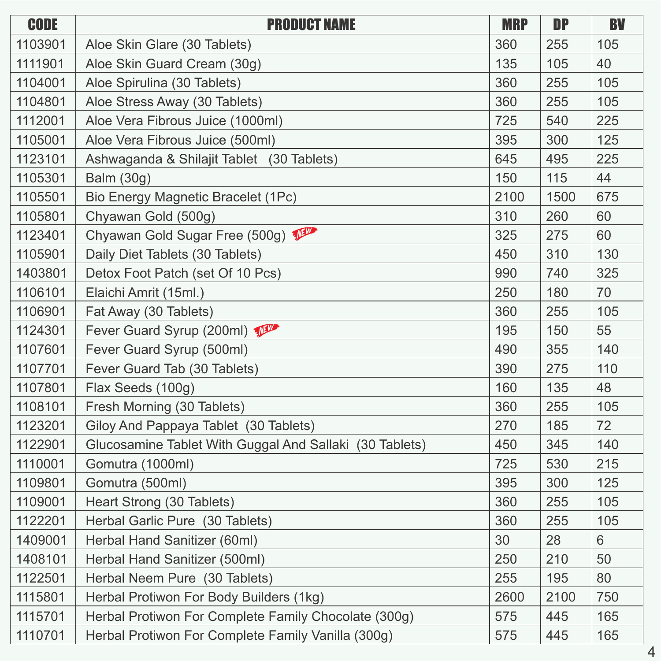| <b>CODE</b> | <b>PRODUCT NAME</b>                                     | <b>MRP</b> | <b>DP</b> | <b>BV</b> |
|-------------|---------------------------------------------------------|------------|-----------|-----------|
| 1103901     | Aloe Skin Glare (30 Tablets)                            | 360        | 255       | 105       |
| 1111901     | Aloe Skin Guard Cream (30g)                             | 135        | 105       | 40        |
| 1104001     | Aloe Spirulina (30 Tablets)                             | 360        | 255       | 105       |
| 1104801     | Aloe Stress Away (30 Tablets)                           | 360        | 255       | 105       |
| 1112001     | Aloe Vera Fibrous Juice (1000ml)                        | 725        | 540       | 225       |
| 1105001     | Aloe Vera Fibrous Juice (500ml)                         | 395        | 300       | 125       |
| 1123101     | Ashwaganda & Shilajit Tablet (30 Tablets)               | 645        | 495       | 225       |
| 1105301     | <b>Balm (30g)</b>                                       | 150        | 115       | 44        |
| 1105501     | Bio Energy Magnetic Bracelet (1Pc)                      | 2100       | 1500      | 675       |
| 1105801     | Chyawan Gold (500g)                                     | 310        | 260       | 60        |
| 1123401     | Chyawan Gold Sugar Free (500g)                          | 325        | 275       | 60        |
| 1105901     | Daily Diet Tablets (30 Tablets)                         | 450        | 310       | 130       |
| 1403801     | Detox Foot Patch (set Of 10 Pcs)                        | 990        | 740       | 325       |
| 1106101     | Elaichi Amrit (15ml.)                                   | 250        | 180       | 70        |
| 1106901     | Fat Away (30 Tablets)                                   | 360        | 255       | 105       |
| 1124301     | Fever Guard Syrup (200ml)                               | 195        | 150       | 55        |
| 1107601     | Fever Guard Syrup (500ml)                               | 490        | 355       | 140       |
| 1107701     | Fever Guard Tab (30 Tablets)                            | 390        | 275       | 110       |
| 1107801     | Flax Seeds (100g)                                       | 160        | 135       | 48        |
| 1108101     | Fresh Morning (30 Tablets)                              | 360        | 255       | 105       |
| 1123201     | Giloy And Pappaya Tablet (30 Tablets)                   | 270        | 185       | 72        |
| 1122901     | Glucosamine Tablet With Guggal And Sallaki (30 Tablets) | 450        | 345       | 140       |
| 1110001     | Gomutra (1000ml)                                        | 725        | 530       | 215       |
| 1109801     | Gomutra (500ml)                                         | 395        | 300       | 125       |
| 1109001     | Heart Strong (30 Tablets)                               | 360        | 255       | 105       |
| 1122201     | Herbal Garlic Pure (30 Tablets)                         | 360        | 255       | 105       |
| 1409001     | Herbal Hand Sanitizer (60ml)                            | 30         | 28        | 6         |
| 1408101     | Herbal Hand Sanitizer (500ml)                           | 250        | 210       | 50        |
| 1122501     | Herbal Neem Pure (30 Tablets)                           | 255        | 195       | 80        |
| 1115801     | Herbal Protiwon For Body Builders (1kg)                 | 2600       | 2100      | 750       |
| 1115701     | Herbal Protiwon For Complete Family Chocolate (300g)    | 575        | 445       | 165       |
| 1110701     | Herbal Protiwon For Complete Family Vanilla (300g)      | 575        | 445       | 165       |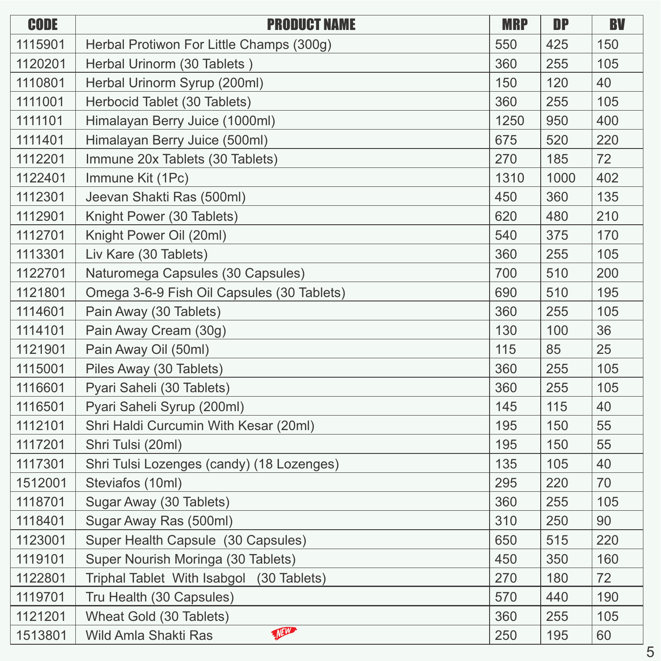| <b>CODE</b> | <b>PRODUCT NAME</b>                        | <b>MRP</b> | <b>DP</b> | <b>BV</b> |
|-------------|--------------------------------------------|------------|-----------|-----------|
| 1115901     | Herbal Protiwon For Little Champs (300g)   | 550        | 425       | 150       |
| 1120201     | Herbal Urinorm (30 Tablets)                | 360        | 255       | 105       |
| 1110801     | Herbal Urinorm Syrup (200ml)               | 150        | 120       | 40        |
| 1111001     | Herbocid Tablet (30 Tablets)               | 360        | 255       | 105       |
| 1111101     | Himalayan Berry Juice (1000ml)             | 1250       | 950       | 400       |
| 1111401     | Himalayan Berry Juice (500ml)              | 675        | 520       | 220       |
| 1112201     | Immune 20x Tablets (30 Tablets)            | 270        | 185       | 72        |
| 1122401     | Immune Kit (1Pc)                           | 1310       | 1000      | 402       |
| 1112301     | Jeevan Shakti Ras (500ml)                  | 450        | 360       | 135       |
| 1112901     | Knight Power (30 Tablets)                  | 620        | 480       | 210       |
| 1112701     | Knight Power Oil (20ml)                    | 540        | 375       | 170       |
| 1113301     | Liv Kare (30 Tablets)                      | 360        | 255       | 105       |
| 1122701     | Naturomega Capsules (30 Capsules)          | 700        | 510       | 200       |
| 1121801     | Omega 3-6-9 Fish Oil Capsules (30 Tablets) | 690        | 510       | 195       |
| 1114601     | Pain Away (30 Tablets)                     | 360        | 255       | 105       |
| 1114101     | Pain Away Cream (30g)                      | 130        | 100       | 36        |
| 1121901     | Pain Away Oil (50ml)                       | 115        | 85        | 25        |
| 1115001     | Piles Away (30 Tablets)                    | 360        | 255       | 105       |
| 1116601     | Pyari Saheli (30 Tablets)                  | 360        | 255       | 105       |
| 1116501     | Pyari Saheli Syrup (200ml)                 | 145        | 115       | 40        |
| 1112101     | Shri Haldi Curcumin With Kesar (20ml)      | 195        | 150       | 55        |
| 1117201     | Shri Tulsi (20ml)                          | 195        | 150       | 55        |
| 1117301     | Shri Tulsi Lozenges (candy) (18 Lozenges)  | 135        | 105       | 40        |
| 1512001     | Steviafos (10ml)                           | 295        | 220       | 70        |
| 1118701     | Sugar Away (30 Tablets)                    | 360        | 255       | 105       |
| 1118401     | Sugar Away Ras (500ml)                     | 310        | 250       | 90        |
| 1123001     | Super Health Capsule (30 Capsules)         | 650        | 515       | 220       |
| 1119101     | Super Nourish Moringa (30 Tablets)         | 450        | 350       | 160       |
| 1122801     | Triphal Tablet With Isabgol (30 Tablets)   | 270        | 180       | 72        |
| 1119701     | Tru Health (30 Capsules)                   | 570        | 440       | 190       |
| 1121201     | Wheat Gold (30 Tablets)                    | 360        | 255       | 105       |
| 1513801     | THE<br>Wild Amla Shakti Ras                | 250        | 195       | 60        |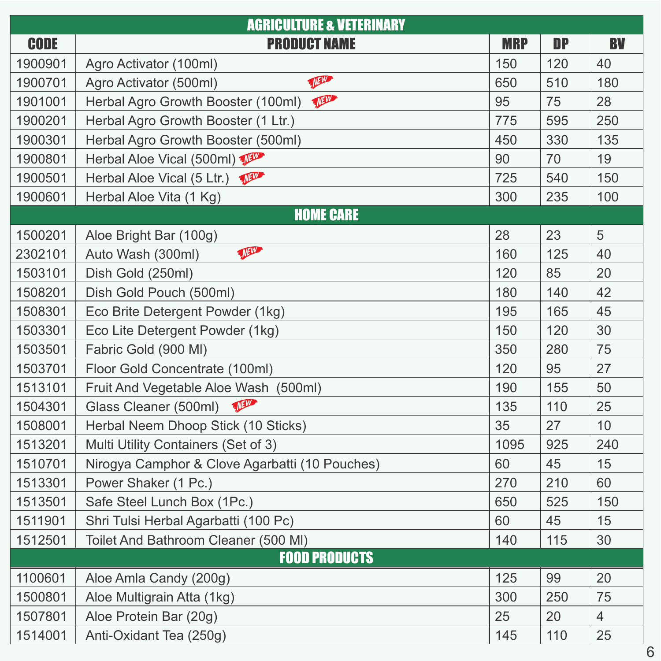| <b>AGRICULTURE &amp; VETERINARY</b> |                                                |            |           |           |  |
|-------------------------------------|------------------------------------------------|------------|-----------|-----------|--|
| <b>CODE</b>                         | <b>PRODUCT NAME</b>                            | <b>MRP</b> | <b>DP</b> | <b>BV</b> |  |
| 1900901                             | Agro Activator (100ml)                         | 150        | 120       | 40        |  |
| 1900701                             | There<br>Agro Activator (500ml)                | 650        | 510       | 180       |  |
| 1901001                             | VAN<br>Herbal Agro Growth Booster (100ml)      | 95         | 75        | 28        |  |
| 1900201                             | Herbal Agro Growth Booster (1 Ltr.)            | 775        | 595       | 250       |  |
| 1900301                             | Herbal Agro Growth Booster (500ml)             | 450        | 330       | 135       |  |
| 1900801                             | Herbal Aloe Vical (500ml)                      | 90         | 70        | 19        |  |
| 1900501                             | Herbal Aloe Vical (5 Ltr.)                     | 725        | 540       | 150       |  |
| 1900601                             | Herbal Aloe Vita (1 Kg)                        | 300        | 235       | 100       |  |
|                                     | <b>HOME CARE</b>                               |            |           |           |  |
| 1500201                             | Aloe Bright Bar (100g)                         | 28         | 23        | 5         |  |
| 2302101                             | The<br>Auto Wash (300ml)                       | 160        | 125       | 40        |  |
| 1503101                             | Dish Gold (250ml)                              | 120        | 85        | 20        |  |
| 1508201                             | Dish Gold Pouch (500ml)                        | 180        | 140       | 42        |  |
| 1508301                             | Eco Brite Detergent Powder (1kg)               | 195        | 165       | 45        |  |
| 1503301                             | Eco Lite Detergent Powder (1kg)                | 150        | 120       | 30        |  |
| 1503501                             | Fabric Gold (900 MI)                           | 350        | 280       | 75        |  |
| 1503701                             | Floor Gold Concentrate (100ml)                 | 120        | 95        | 27        |  |
| 1513101                             | Fruit And Vegetable Aloe Wash (500ml)          | 190        | 155       | 50        |  |
| 1504301                             | Them<br>Glass Cleaner (500ml)                  | 135        | 110       | 25        |  |
| 1508001                             | Herbal Neem Dhoop Stick (10 Sticks)            | 35         | 27        | 10        |  |
| 1513201                             | Multi Utility Containers (Set of 3)            | 1095       | 925       | 240       |  |
| 1510701                             | Nirogya Camphor & Clove Agarbatti (10 Pouches) | 60         | 45        | 15        |  |
| 1513301                             | Power Shaker (1 Pc.)                           | 270        | 210       | 60        |  |
| 1513501                             | Safe Steel Lunch Box (1Pc.)                    | 650        | 525       | 150       |  |
| 1511901                             | Shri Tulsi Herbal Agarbatti (100 Pc)           | 60         | 45        | 15        |  |
| 1512501                             | Toilet And Bathroom Cleaner (500 MI)           | 140        | 115       | 30        |  |
|                                     | <b>FOOD PRODUCTS</b>                           |            |           |           |  |
| 1100601                             | Aloe Amla Candy (200g)                         | 125        | 99        | 20        |  |
| 1500801                             | Aloe Multigrain Atta (1kg)                     | 300        | 250       | 75        |  |
| 1507801                             | Aloe Protein Bar (20g)                         | 25         | 20        | 4         |  |
| 1514001                             | Anti-Oxidant Tea (250g)                        | 145        | 110       | 25        |  |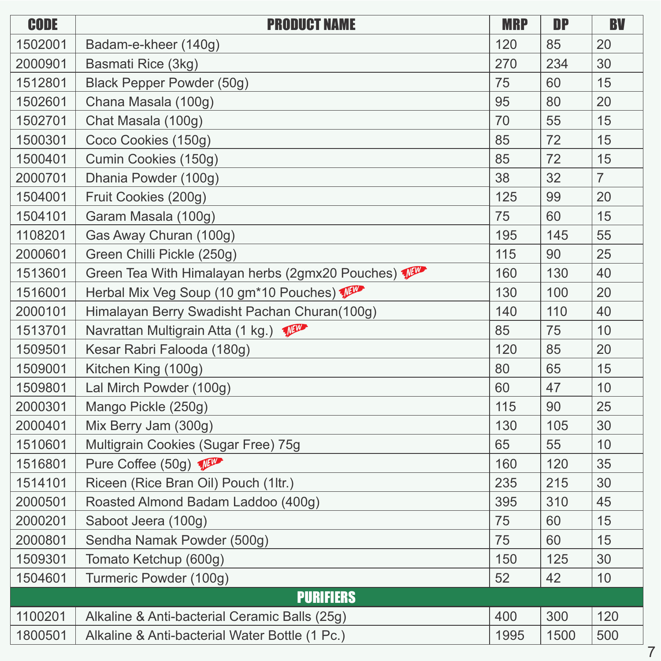| <b>CODE</b> | <b>PRODUCT NAME</b>                             | <b>MRP</b> | <b>DP</b> | <b>BV</b>      |
|-------------|-------------------------------------------------|------------|-----------|----------------|
| 1502001     | Badam-e-kheer (140g)                            | 120        | 85        | 20             |
| 2000901     | Basmati Rice (3kg)                              | 270        | 234       | 30             |
| 1512801     | Black Pepper Powder (50g)                       | 75         | 60        | 15             |
| 1502601     | Chana Masala (100g)                             | 95         | 80        | 20             |
| 1502701     | Chat Masala (100g)                              | 70         | 55        | 15             |
| 1500301     | Coco Cookies (150g)                             | 85         | 72        | 15             |
| 1500401     | Cumin Cookies (150g)                            | 85         | 72        | 15             |
| 2000701     | Dhania Powder (100g)                            | 38         | 32        | $\overline{7}$ |
| 1504001     | Fruit Cookies (200g)                            | 125        | 99        | 20             |
| 1504101     | Garam Masala (100g)                             | 75         | 60        | 15             |
| 1108201     | Gas Away Churan (100g)                          | 195        | 145       | 55             |
| 2000601     | Green Chilli Pickle (250g)                      | 115        | 90        | 25             |
| 1513601     | Green Tea With Himalayan herbs (2gmx20 Pouches) | 160        | 130       | 40             |
| 1516001     | Herbal Mix Veg Soup (10 gm*10 Pouches)          | 130        | 100       | 20             |
| 2000101     | Himalayan Berry Swadisht Pachan Churan(100g)    | 140        | 110       | 40             |
| 1513701     | Navrattan Multigrain Atta (1 kg.)               | 85         | 75        | 10             |
| 1509501     | Kesar Rabri Falooda (180g)                      | 120        | 85        | 20             |
| 1509001     | Kitchen King (100g)                             | 80         | 65        | 15             |
| 1509801     | Lal Mirch Powder (100g)                         | 60         | 47        | 10             |
| 2000301     | Mango Pickle (250g)                             | 115        | 90        | 25             |
| 2000401     | Mix Berry Jam (300g)                            | 130        | 105       | 30             |
| 1510601     | Multigrain Cookies (Sugar Free) 75g             | 65         | 55        | 10             |
| 1516801     | Pure Coffee (50g)                               | 160        | 120       | 35             |
| 1514101     | Riceen (Rice Bran Oil) Pouch (1ltr.)            | 235        | 215       | 30             |
| 2000501     | Roasted Almond Badam Laddoo (400g)              | 395        | 310       | 45             |
| 2000201     | Saboot Jeera (100g)                             | 75         | 60        | 15             |
| 2000801     | Sendha Namak Powder (500g)                      | 75         | 60        | 15             |
| 1509301     | Tomato Ketchup (600g)                           | 150        | 125       | 30             |
| 1504601     | Turmeric Powder (100g)                          | 52         | 42        | 10             |
|             | <b>PURIFIERS</b>                                |            |           |                |
| 1100201     | Alkaline & Anti-bacterial Ceramic Balls (25g)   | 400        | 300       | 120            |
| 1800501     | Alkaline & Anti-bacterial Water Bottle (1 Pc.)  | 1995       | 1500      | 500            |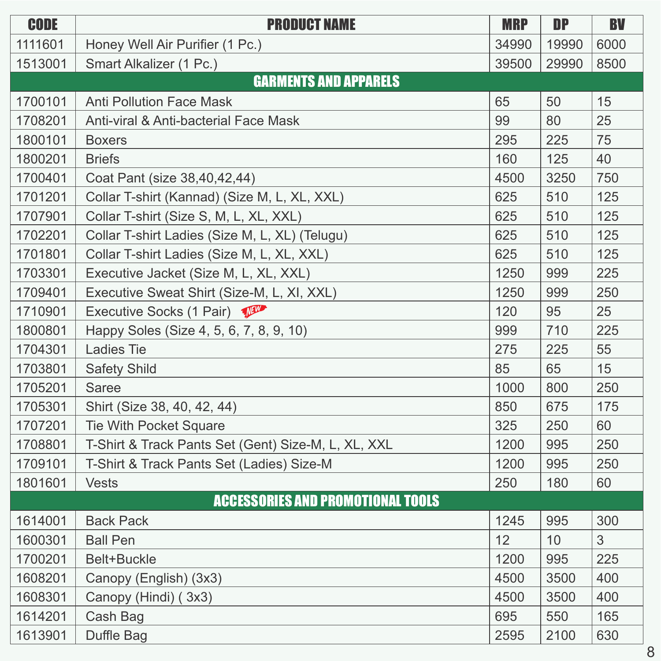| <b>CODE</b> | <b>PRODUCT NAME</b>                                 | <b>MRP</b> | <b>DP</b> | <b>BV</b> |
|-------------|-----------------------------------------------------|------------|-----------|-----------|
| 1111601     | Honey Well Air Purifier (1 Pc.)                     | 34990      | 19990     | 6000      |
| 1513001     | Smart Alkalizer (1 Pc.)                             | 39500      | 29990     | 8500      |
|             | <b>GARMENTS AND APPARELS</b>                        |            |           |           |
| 1700101     | <b>Anti Pollution Face Mask</b>                     | 65         | 50        | 15        |
| 1708201     | Anti-viral & Anti-bacterial Face Mask               | 99         | 80        | 25        |
| 1800101     | <b>Boxers</b>                                       | 295        | 225       | 75        |
| 1800201     | <b>Briefs</b>                                       | 160        | 125       | 40        |
| 1700401     | Coat Pant (size 38,40,42,44)                        | 4500       | 3250      | 750       |
| 1701201     | Collar T-shirt (Kannad) (Size M, L, XL, XXL)        | 625        | 510       | 125       |
| 1707901     | Collar T-shirt (Size S, M, L, XL, XXL)              | 625        | 510       | 125       |
| 1702201     | Collar T-shirt Ladies (Size M, L, XL) (Telugu)      | 625        | 510       | 125       |
| 1701801     | Collar T-shirt Ladies (Size M, L, XL, XXL)          | 625        | 510       | 125       |
| 1703301     | Executive Jacket (Size M, L, XL, XXL)               | 1250       | 999       | 225       |
| 1709401     | Executive Sweat Shirt (Size-M, L, XI, XXL)          | 1250       | 999       | 250       |
| 1710901     | Executive Socks (1 Pair)                            | 120        | 95        | 25        |
| 1800801     | Happy Soles (Size 4, 5, 6, 7, 8, 9, 10)             | 999        | 710       | 225       |
| 1704301     | <b>Ladies Tie</b>                                   | 275        | 225       | 55        |
| 1703801     | <b>Safety Shild</b>                                 | 85         | 65        | 15        |
| 1705201     | Saree                                               | 1000       | 800       | 250       |
| 1705301     | Shirt (Size 38, 40, 42, 44)                         | 850        | 675       | 175       |
| 1707201     | <b>Tie With Pocket Square</b>                       | 325        | 250       | 60        |
| 1708801     | T-Shirt & Track Pants Set (Gent) Size-M, L, XL, XXL | 1200       | 995       | 250       |
| 1709101     | T-Shirt & Track Pants Set (Ladies) Size-M           | 1200       | 995       | 250       |
| 1801601     | <b>Vests</b>                                        | 250        | 180       | 60        |
|             | <b>ACCESSORIES AND PROMOTIONAL TOOLS</b>            |            |           |           |
| 1614001     | <b>Back Pack</b>                                    | 1245       | 995       | 300       |
| 1600301     | <b>Ball Pen</b>                                     | 12         | 10        | 3         |
| 1700201     | <b>Belt+Buckle</b>                                  | 1200       | 995       | 225       |
| 1608201     | Canopy (English) (3x3)                              | 4500       | 3500      | 400       |
| 1608301     | Canopy (Hindi) (3x3)                                | 4500       | 3500      | 400       |
| 1614201     | Cash Bag                                            | 695        | 550       | 165       |
| 1613901     | Duffle Bag                                          | 2595       | 2100      | 630       |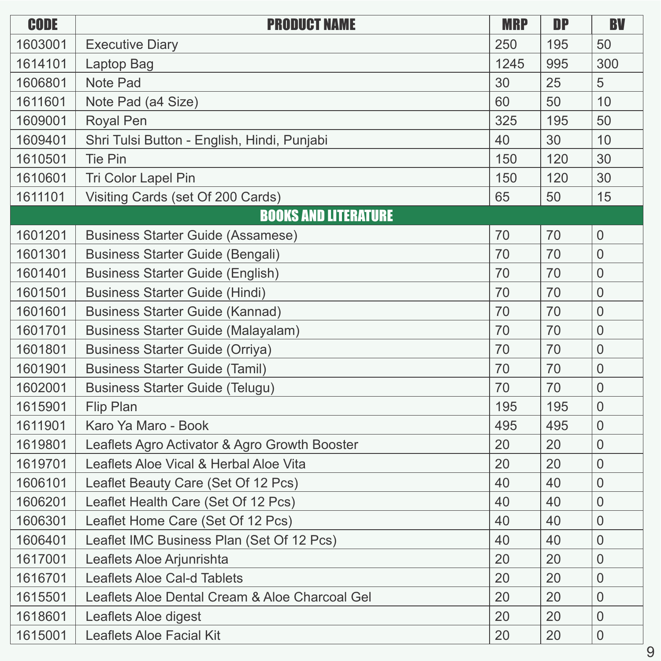| <b>CODE</b> | <b>PRODUCT NAME</b>                            | <b>MRP</b> | <b>DP</b> | <b>BV</b>      |
|-------------|------------------------------------------------|------------|-----------|----------------|
| 1603001     | <b>Executive Diary</b>                         | 250        | 195       | 50             |
| 1614101     | Laptop Bag                                     | 1245       | 995       | 300            |
| 1606801     | <b>Note Pad</b>                                | 30         | 25        | 5              |
| 1611601     | Note Pad (a4 Size)                             | 60         | 50        | 10             |
| 1609001     | Royal Pen                                      | 325        | 195       | 50             |
| 1609401     | Shri Tulsi Button - English, Hindi, Punjabi    | 40         | 30        | 10             |
| 1610501     | <b>Tie Pin</b>                                 | 150        | 120       | 30             |
| 1610601     | Tri Color Lapel Pin                            | 150        | 120       | 30             |
| 1611101     | Visiting Cards (set Of 200 Cards)              | 65         | 50        | 15             |
|             | <b>BOOKS AND LITERATURE</b>                    |            |           |                |
| 1601201     | <b>Business Starter Guide (Assamese)</b>       | 70         | 70        | $\overline{0}$ |
| 1601301     | <b>Business Starter Guide (Bengali)</b>        | 70         | 70        | $\overline{0}$ |
| 1601401     | <b>Business Starter Guide (English)</b>        | 70         | 70        | 0              |
| 1601501     | <b>Business Starter Guide (Hindi)</b>          | 70         | 70        | $\overline{0}$ |
| 1601601     | <b>Business Starter Guide (Kannad)</b>         | 70         | 70        | $\overline{0}$ |
| 1601701     | <b>Business Starter Guide (Malayalam)</b>      | 70         | 70        | $\overline{0}$ |
| 1601801     | <b>Business Starter Guide (Orriya)</b>         | 70         | 70        | $\overline{0}$ |
| 1601901     | <b>Business Starter Guide (Tamil)</b>          | 70         | 70        | $\overline{0}$ |
| 1602001     | <b>Business Starter Guide (Telugu)</b>         | 70         | 70        | $\overline{0}$ |
| 1615901     | <b>Flip Plan</b>                               | 195        | 195       | $\overline{0}$ |
| 1611901     | Karo Ya Maro - Book                            | 495        | 495       | $\overline{0}$ |
| 1619801     | Leaflets Agro Activator & Agro Growth Booster  | 20         | 20        | $\overline{0}$ |
| 1619701     | Leaflets Aloe Vical & Herbal Aloe Vita         | 20         | 20        | $\overline{0}$ |
| 1606101     | Leaflet Beauty Care (Set Of 12 Pcs)            | 40         | 40        | $\overline{0}$ |
| 1606201     | Leaflet Health Care (Set Of 12 Pcs)            | 40         | 40        | $\mathbf 0$    |
| 1606301     | Leaflet Home Care (Set Of 12 Pcs)              | 40         | 40        | $\overline{0}$ |
| 1606401     | Leaflet IMC Business Plan (Set Of 12 Pcs)      | 40         | 40        | $\overline{0}$ |
| 1617001     | Leaflets Aloe Arjunrishta                      | 20         | 20        | $\overline{0}$ |
| 1616701     | <b>Leaflets Aloe Cal-d Tablets</b>             | 20         | 20        | $\overline{0}$ |
| 1615501     | Leaflets Aloe Dental Cream & Aloe Charcoal Gel | 20         | 20        | $\overline{0}$ |
| 1618601     | Leaflets Aloe digest                           | 20         | 20        | $\overline{0}$ |
| 1615001     | <b>Leaflets Aloe Facial Kit</b>                | 20         | 20        | $\mathbf 0$    |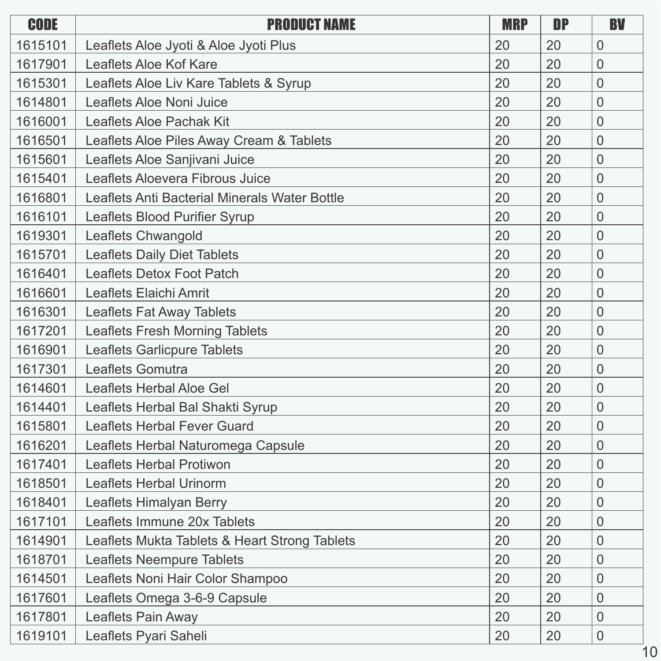| <b>CODE</b> | <b>PRODUCT NAME</b>                           | <b>MRP</b> | <b>DP</b> | <b>BV</b>      |
|-------------|-----------------------------------------------|------------|-----------|----------------|
| 1615101     | Leaflets Aloe Jyoti & Aloe Jyoti Plus         | 20         | 20        | $\overline{0}$ |
| 1617901     | Leaflets Aloe Kof Kare                        | 20         | 20        | $\overline{0}$ |
| 1615301     | Leaflets Aloe Liv Kare Tablets & Syrup        | 20         | 20        | $\overline{0}$ |
| 1614801     | Leaflets Aloe Noni Juice                      | 20         | 20        | $\overline{0}$ |
| 1616001     | <b>Leaflets Aloe Pachak Kit</b>               | 20         | 20        | $\overline{0}$ |
| 1616501     | Leaflets Aloe Piles Away Cream & Tablets      | 20         | 20        | $\overline{0}$ |
| 1615601     | Leaflets Aloe Sanjivani Juice                 | 20         | 20        | $\overline{0}$ |
| 1615401     | Leaflets Aloevera Fibrous Juice               | 20         | 20        | $\overline{0}$ |
| 1616801     | Leaflets Anti Bacterial Minerals Water Bottle | 20         | 20        | $\overline{0}$ |
| 1616101     | Leaflets Blood Purifier Syrup                 | 20         | 20        | $\overline{0}$ |
| 1619301     | <b>Leaflets Chwangold</b>                     | 20         | 20        | $\overline{0}$ |
| 1615701     | <b>Leaflets Daily Diet Tablets</b>            | 20         | 20        | $\overline{0}$ |
| 1616401     | <b>Leaflets Detox Foot Patch</b>              | 20         | 20        | $\overline{0}$ |
| 1616601     | <b>Leaflets Elaichi Amrit</b>                 | 20         | 20        | $\overline{0}$ |
| 1616301     | <b>Leaflets Fat Away Tablets</b>              | 20         | 20        | $\overline{0}$ |
| 1617201     | <b>Leaflets Fresh Morning Tablets</b>         | 20         | 20        | $\overline{0}$ |
| 1616901     | <b>Leaflets Garlicpure Tablets</b>            | 20         | 20        | $\overline{0}$ |
| 1617301     | Leaflets Gomutra                              | 20         | 20        | $\overline{0}$ |
| 1614601     | <b>Leaflets Herbal Aloe Gel</b>               | 20         | 20        | $\overline{0}$ |
| 1614401     | Leaflets Herbal Bal Shakti Syrup              | 20         | 20        | $\overline{0}$ |
| 1615801     | <b>Leaflets Herbal Fever Guard</b>            | 20         | 20        | $\overline{0}$ |
| 1616201     | Leaflets Herbal Naturomega Capsule            | 20         | 20        | $\overline{0}$ |
| 1617401     | <b>Leaflets Herbal Protiwon</b>               | 20         | 20        | $\overline{0}$ |
| 1618501     | <b>Leaflets Herbal Urinorm</b>                | 20         | 20        | $\overline{0}$ |
| 1618401     | Leaflets Himalyan Berry                       | 20         | 20        | $\overline{0}$ |
| 1617101     | Leaflets Immune 20x Tablets                   | 20         | 20        | $\overline{0}$ |
| 1614901     | Leaflets Mukta Tablets & Heart Strong Tablets | 20         | 20        | $\overline{0}$ |
| 1618701     | <b>Leaflets Neempure Tablets</b>              | 20         | 20        | $\overline{0}$ |
| 1614501     | Leaflets Noni Hair Color Shampoo              | 20         | 20        | $\overline{0}$ |
| 1617601     | Leaflets Omega 3-6-9 Capsule                  | 20         | 20        | $\overline{0}$ |
| 1617801     | Leaflets Pain Away                            | 20         | 20        | $\overline{0}$ |
| 1619101     | Leaflets Pyari Saheli                         | 20         | 20        | $\theta$       |